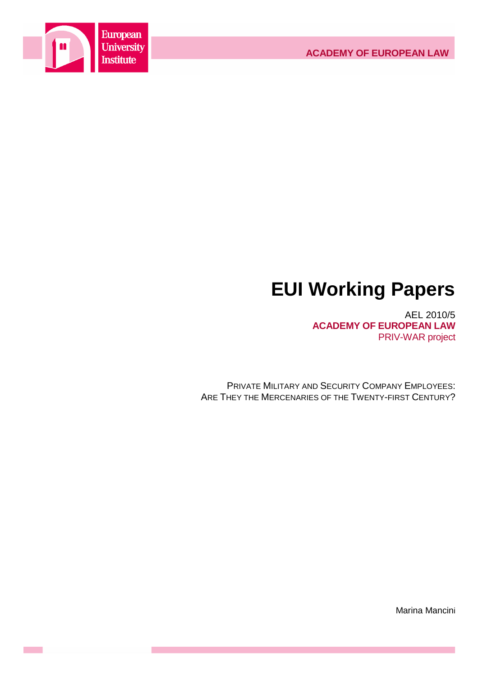

# **EUI Working Papers**

AEL 2010/5 **ACADEMY OF EUROPEAN LAW** PRIV-WAR project

PRIVATE MILITARY AND SECURITY COMPANY EMPLOYEES: ARE THEY THE MERCENARIES OF THE TWENTY-FIRST CENTURY?

Marina Mancini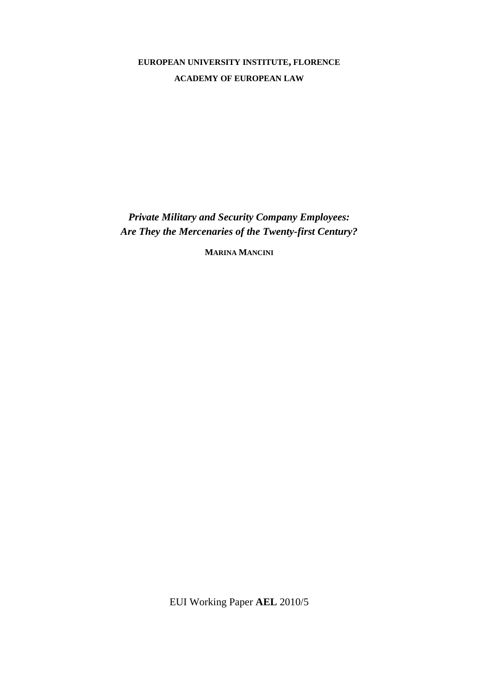# **EUROPEAN UNIVERSITY INSTITUTE, FLORENCE ACADEMY OF EUROPEAN LAW**

*Private Military and Security Company Employees: Are They the Mercenaries of the Twenty-first Century?* 

**MARINA MANCINI**

EUI Working Paper **AEL** 2010/5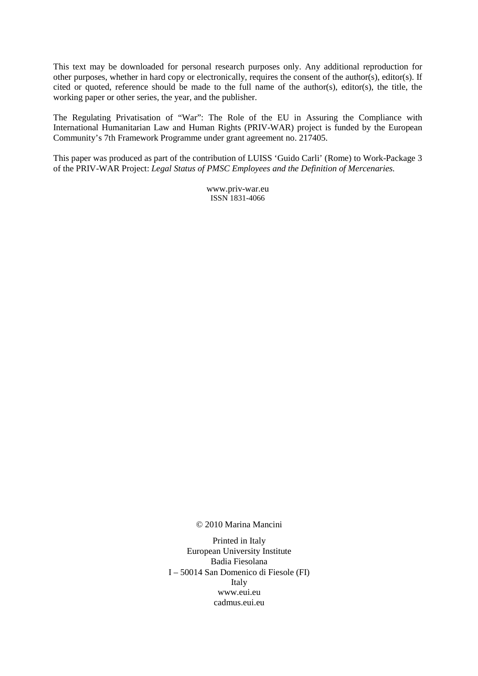This text may be downloaded for personal research purposes only. Any additional reproduction for other purposes, whether in hard copy or electronically, requires the consent of the author(s), editor(s). If cited or quoted, reference should be made to the full name of the author(s), editor(s), the title, the working paper or other series, the year, and the publisher.

The Regulating Privatisation of "War": The Role of the EU in Assuring the Compliance with International Humanitarian Law and Human Rights (PRIV-WAR) project is funded by the European Community's 7th Framework Programme under grant agreement no. 217405.

This paper was produced as part of the contribution of LUISS 'Guido Carli' (Rome) to Work-Package 3 of the PRIV-WAR Project: *Legal Status of PMSC Employees and the Definition of Mercenaries.* 

> www.priv-war.eu ISSN 1831-4066

© 2010 Marina Mancini

Printed in Italy European University Institute Badia Fiesolana I – 50014 San Domenico di Fiesole (FI) Italy www.eui.eu cadmus.eui.eu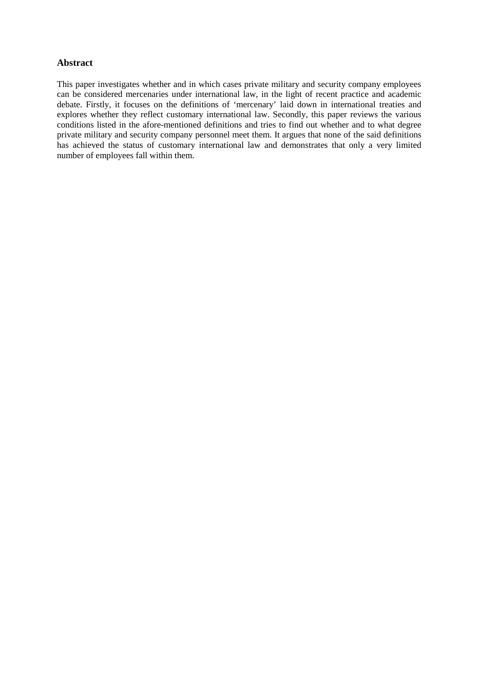# **Abstract**

This paper investigates whether and in which cases private military and security company employees can be considered mercenaries under international law, in the light of recent practice and academic debate. Firstly, it focuses on the definitions of 'mercenary' laid down in international treaties and explores whether they reflect customary international law. Secondly, this paper reviews the various conditions listed in the afore-mentioned definitions and tries to find out whether and to what degree private military and security company personnel meet them. It argues that none of the said definitions has achieved the status of customary international law and demonstrates that only a very limited number of employees fall within them.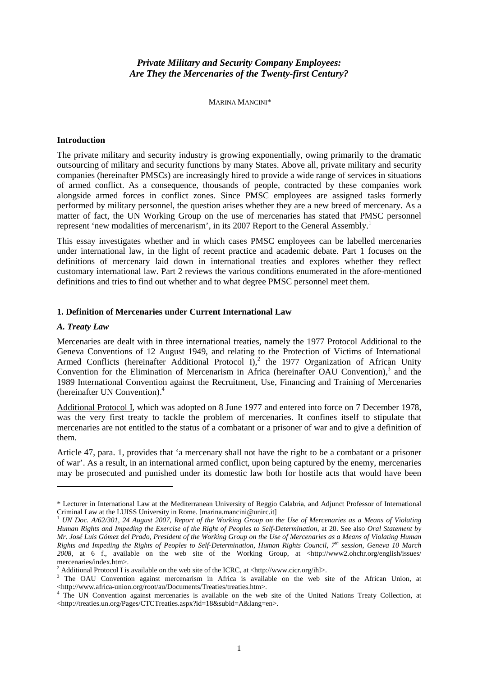# *Private Military and Security Company Employees: Are They the Mercenaries of the Twenty-first Century?*

MARINA MANCINI\*

#### **Introduction**

The private military and security industry is growing exponentially, owing primarily to the dramatic outsourcing of military and security functions by many States. Above all, private military and security companies (hereinafter PMSCs) are increasingly hired to provide a wide range of services in situations of armed conflict. As a consequence, thousands of people, contracted by these companies work alongside armed forces in conflict zones. Since PMSC employees are assigned tasks formerly performed by military personnel, the question arises whether they are a new breed of mercenary. As a matter of fact, the UN Working Group on the use of mercenaries has stated that PMSC personnel represent 'new modalities of mercenarism', in its 2007 Report to the General Assembly.<sup>1</sup>

This essay investigates whether and in which cases PMSC employees can be labelled mercenaries under international law, in the light of recent practice and academic debate. Part 1 focuses on the definitions of mercenary laid down in international treaties and explores whether they reflect customary international law. Part 2 reviews the various conditions enumerated in the afore-mentioned definitions and tries to find out whether and to what degree PMSC personnel meet them.

### **1. Definition of Mercenaries under Current International Law**

#### *A. Treaty Law*

 $\overline{a}$ 

Mercenaries are dealt with in three international treaties, namely the 1977 Protocol Additional to the Geneva Conventions of 12 August 1949, and relating to the Protection of Victims of International Armed Conflicts (hereinafter Additional Protocol I),<sup>2</sup> the 1977 Organization of African Unity Convention for the Elimination of Mercenarism in Africa (hereinafter OAU Convention),<sup>3</sup> and the 1989 International Convention against the Recruitment, Use, Financing and Training of Mercenaries (hereinafter UN Convention).<sup>4</sup>

Additional Protocol I, which was adopted on 8 June 1977 and entered into force on 7 December 1978, was the very first treaty to tackle the problem of mercenaries. It confines itself to stipulate that mercenaries are not entitled to the status of a combatant or a prisoner of war and to give a definition of them.

Article 47, para. 1, provides that 'a mercenary shall not have the right to be a combatant or a prisoner of war'. As a result, in an international armed conflict, upon being captured by the enemy, mercenaries may be prosecuted and punished under its domestic law both for hostile acts that would have been

<sup>\*</sup> Lecturer in International Law at the Mediterranean University of Reggio Calabria, and Adjunct Professor of International Criminal Law at the LUISS University in Rome. [marina.mancini@unirc.it]

<sup>1</sup> *UN Doc. A/62/301, 24 August 2007, Report of the Working Group on the Use of Mercenaries as a Means of Violating Human Rights and Impeding the Exercise of the Right of Peoples to Self-Determination*, at 20. See also *Oral Statement by Mr. José Luis Gómez del Prado, President of the Working Group on the Use of Mercenaries as a Means of Violating Human Rights and Impeding the Rights of Peoples to Self-Determination, Human Rights Council, 7th session, Geneva 10 March*  2008, at 6 f., available on the web site of the Working Group, at <http://www2.ohchr.org/english/issues/ mercenaries/index.htm>.

<sup>&</sup>lt;sup>2</sup> Additional Protocol I is available on the web site of the ICRC, at <http://www.cicr.org/ihl>.

<sup>&</sup>lt;sup>3</sup> The OAU Convention against mercenarism in Africa is available on the web site of the African Union, at <http://www.africa-union.org/root/au/Documents/Treaties/treaties.htm>.

<sup>4</sup> The UN Convention against mercenaries is available on the web site of the United Nations Treaty Collection, at <http://treaties.un.org/Pages/CTCTreaties.aspx?id=18&subid=A&lang=en>.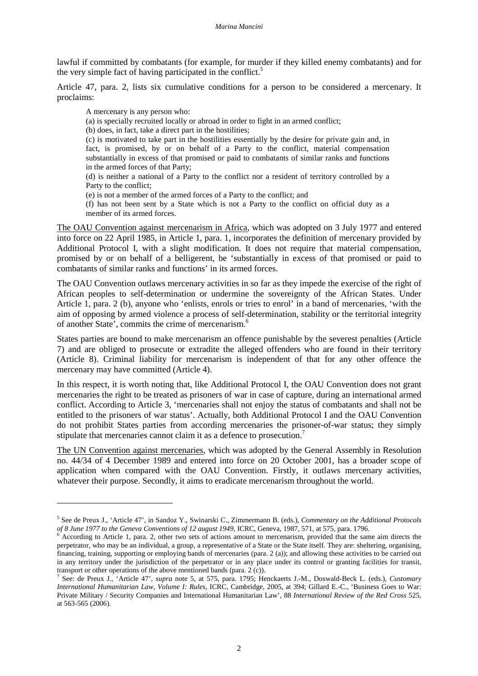lawful if committed by combatants (for example, for murder if they killed enemy combatants) and for the very simple fact of having participated in the conflict.<sup>5</sup>

Article 47, para. 2, lists six cumulative conditions for a person to be considered a mercenary. It proclaims:

A mercenary is any person who:

 $\overline{a}$ 

(a) is specially recruited locally or abroad in order to fight in an armed conflict;

(b) does, in fact, take a direct part in the hostilities;

(c) is motivated to take part in the hostilities essentially by the desire for private gain and, in fact, is promised, by or on behalf of a Party to the conflict, material compensation substantially in excess of that promised or paid to combatants of similar ranks and functions in the armed forces of that Party;

(d) is neither a national of a Party to the conflict nor a resident of territory controlled by a Party to the conflict;

(e) is not a member of the armed forces of a Party to the conflict; and

(f) has not been sent by a State which is not a Party to the conflict on official duty as a member of its armed forces.

The OAU Convention against mercenarism in Africa, which was adopted on 3 July 1977 and entered into force on 22 April 1985, in Article 1, para. 1, incorporates the definition of mercenary provided by Additional Protocol I, with a slight modification. It does not require that material compensation, promised by or on behalf of a belligerent, be 'substantially in excess of that promised or paid to combatants of similar ranks and functions' in its armed forces.

The OAU Convention outlaws mercenary activities in so far as they impede the exercise of the right of African peoples to self-determination or undermine the sovereignty of the African States. Under Article 1, para. 2 (b), anyone who 'enlists, enrols or tries to enrol' in a band of mercenaries, 'with the aim of opposing by armed violence a process of self-determination, stability or the territorial integrity of another State', commits the crime of mercenarism. 6

States parties are bound to make mercenarism an offence punishable by the severest penalties (Article 7) and are obliged to prosecute or extradite the alleged offenders who are found in their territory (Article 8). Criminal liability for mercenarism is independent of that for any other offence the mercenary may have committed (Article 4).

In this respect, it is worth noting that, like Additional Protocol I, the OAU Convention does not grant mercenaries the right to be treated as prisoners of war in case of capture, during an international armed conflict. According to Article 3, 'mercenaries shall not enjoy the status of combatants and shall not be entitled to the prisoners of war status'. Actually, both Additional Protocol I and the OAU Convention do not prohibit States parties from according mercenaries the prisoner-of-war status; they simply stipulate that mercenaries cannot claim it as a defence to prosecution.<sup>7</sup>

The UN Convention against mercenaries, which was adopted by the General Assembly in Resolution no. 44/34 of 4 December 1989 and entered into force on 20 October 2001, has a broader scope of application when compared with the OAU Convention. Firstly, it outlaws mercenary activities, whatever their purpose. Secondly, it aims to eradicate mercenarism throughout the world.

<sup>5</sup> See de Preux J., 'Article 47', in Sandoz Y., Swinarski C., Zimmermann B. (eds.), *Commentary on the Additional Protocols of 8 June 1977 to the Geneva Conventions of 12 august 1949*, ICRC, Geneva, 1987, 571, at 575, para. 1796.

 $6$  According to Article 1, para. 2, other two sets of actions amount to mercenarism, provided that the same aim directs the perpetrator, who may be an individual, a group, a representative of a State or the State itself. They are: sheltering, organising, financing, training, supporting or employing bands of mercenaries (para. 2 (a)); and allowing these activities to be carried out in any territory under the jurisdiction of the perpetrator or in any place under its control or granting facilities for transit, transport or other operations of the above mentioned bands (para. 2 (c)).

<sup>7</sup> See: de Preux J., 'Article 47', *supra* note 5, at 575, para. 1795; Henckaerts J.-M., Doswald-Beck L. (eds.), *Customary International Humanitarian Law, Volume I: Rules*, ICRC, Cambridge, 2005, at 394; Gillard E.-C., 'Business Goes to War: Private Military / Security Companies and International Humanitarian Law', 88 *International Review of the Red Cross* 525, at 563-565 (2006).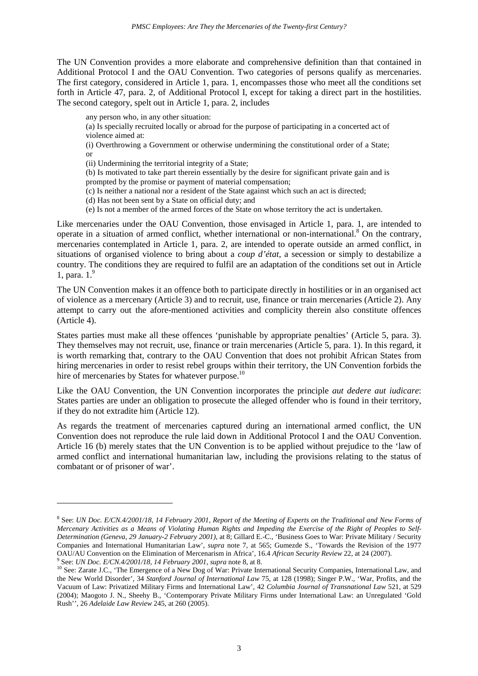The UN Convention provides a more elaborate and comprehensive definition than that contained in Additional Protocol I and the OAU Convention. Two categories of persons qualify as mercenaries. The first category, considered in Article 1, para. 1, encompasses those who meet all the conditions set forth in Article 47, para. 2, of Additional Protocol I, except for taking a direct part in the hostilities. The second category, spelt out in Article 1, para. 2, includes

any person who, in any other situation:

 $\overline{a}$ 

(a) Is specially recruited locally or abroad for the purpose of participating in a concerted act of violence aimed at:

(i) Overthrowing a Government or otherwise undermining the constitutional order of a State; or

(ii) Undermining the territorial integrity of a State;

(b) Is motivated to take part therein essentially by the desire for significant private gain and is prompted by the promise or payment of material compensation;

(c) Is neither a national nor a resident of the State against which such an act is directed;

(d) Has not been sent by a State on official duty; and

(e) Is not a member of the armed forces of the State on whose territory the act is undertaken.

Like mercenaries under the OAU Convention, those envisaged in Article 1, para. 1, are intended to operate in a situation of armed conflict, whether international or non-international.<sup>8</sup> On the contrary, mercenaries contemplated in Article 1, para. 2, are intended to operate outside an armed conflict, in situations of organised violence to bring about a *coup d'état*, a secession or simply to destabilize a country. The conditions they are required to fulfil are an adaptation of the conditions set out in Article 1, para.  $1<sup>9</sup>$ 

The UN Convention makes it an offence both to participate directly in hostilities or in an organised act of violence as a mercenary (Article 3) and to recruit, use, finance or train mercenaries (Article 2). Any attempt to carry out the afore-mentioned activities and complicity therein also constitute offences (Article 4).

States parties must make all these offences 'punishable by appropriate penalties' (Article 5, para. 3). They themselves may not recruit, use, finance or train mercenaries (Article 5, para. 1). In this regard, it is worth remarking that, contrary to the OAU Convention that does not prohibit African States from hiring mercenaries in order to resist rebel groups within their territory, the UN Convention forbids the hire of mercenaries by States for whatever purpose.<sup>10</sup>

Like the OAU Convention, the UN Convention incorporates the principle *aut dedere aut iudicare*: States parties are under an obligation to prosecute the alleged offender who is found in their territory, if they do not extradite him (Article 12).

As regards the treatment of mercenaries captured during an international armed conflict, the UN Convention does not reproduce the rule laid down in Additional Protocol I and the OAU Convention. Article 16 (b) merely states that the UN Convention is to be applied without prejudice to the 'law of armed conflict and international humanitarian law, including the provisions relating to the status of combatant or of prisoner of war'.

<sup>&</sup>lt;sup>8</sup> See: *UN Doc. E/CN.4/2001/18, 14 February 2001, Report of the Meeting of Experts on the Traditional and New Forms of Mercenary Activities as a Means of Violating Human Rights and Impeding the Exercise of the Right of Peoples to Self-Determination (Geneva, 29 January-2 February 2001)*, at 8; Gillard E.-C., 'Business Goes to War: Private Military / Security Companies and International Humanitarian Law', *supra* note 7, at 565; Gumezde S., 'Towards the Revision of the 1977 OAU/AU Convention on the Elimination of Mercenarism in Africa', 16.4 *African Security Review* 22, at 24 (2007).<br><sup>9</sup> Sea: *UN Doc. E/CN 4/2001/18, 14 Echruary 2001*, surva pote 8, at 8. See: *UN Doc. E/CN.4/2001/18, 14 February 2001*, *supra* note 8, at 8.

<sup>10</sup> See: Zarate J.C., 'The Emergence of a New Dog of War: Private International Security Companies, International Law, and 10 See: Zarate J.C., 'The Emergence of a New Dog of War: Private International Security Companies, I the New World Disorder', 34 *Stanford Journal of International Law* 75, at 128 (1998); Singer P.W., 'War, Profits, and the Vacuum of Law: Privatized Military Firms and International Law', 42 *Columbia Journal of Transnational Law* 521, at 529 (2004); Maogoto J. N., Sheehy B., 'Contemporary Private Military Firms under International Law: an Unregulated 'Gold Rush'', 26 *Adelaide Law Review* 245, at 260 (2005).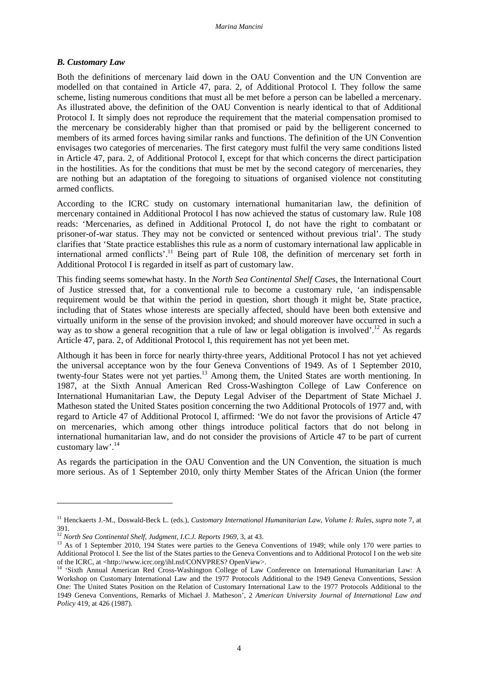# *B. Customary Law*

Both the definitions of mercenary laid down in the OAU Convention and the UN Convention are modelled on that contained in Article 47, para. 2, of Additional Protocol I. They follow the same scheme, listing numerous conditions that must all be met before a person can be labelled a mercenary. As illustrated above, the definition of the OAU Convention is nearly identical to that of Additional Protocol I. It simply does not reproduce the requirement that the material compensation promised to the mercenary be considerably higher than that promised or paid by the belligerent concerned to members of its armed forces having similar ranks and functions. The definition of the UN Convention envisages two categories of mercenaries. The first category must fulfil the very same conditions listed in Article 47, para. 2, of Additional Protocol I, except for that which concerns the direct participation in the hostilities. As for the conditions that must be met by the second category of mercenaries, they are nothing but an adaptation of the foregoing to situations of organised violence not constituting armed conflicts.

According to the ICRC study on customary international humanitarian law, the definition of mercenary contained in Additional Protocol I has now achieved the status of customary law. Rule 108 reads: 'Mercenaries, as defined in Additional Protocol I, do not have the right to combatant or prisoner-of-war status. They may not be convicted or sentenced without previous trial'. The study clarifies that 'State practice establishes this rule as a norm of customary international law applicable in international armed conflicts'.<sup>11</sup> Being part of Rule 108, the definition of mercenary set forth in Additional Protocol I is regarded in itself as part of customary law.

This finding seems somewhat hasty. In the *North Sea Continental Shelf Case*s, the International Court of Justice stressed that, for a conventional rule to become a customary rule, 'an indispensable requirement would be that within the period in question, short though it might be, State practice, including that of States whose interests are specially affected, should have been both extensive and virtually uniform in the sense of the provision invoked; and should moreover have occurred in such a way as to show a general recognition that a rule of law or legal obligation is involved'.<sup>12</sup> As regards Article 47, para. 2, of Additional Protocol I, this requirement has not yet been met.

Although it has been in force for nearly thirty-three years, Additional Protocol I has not yet achieved the universal acceptance won by the four Geneva Conventions of 1949. As of 1 September 2010, twenty-four States were not yet parties.<sup>13</sup> Among them, the United States are worth mentioning. In 1987, at the Sixth Annual American Red Cross-Washington College of Law Conference on International Humanitarian Law, the Deputy Legal Adviser of the Department of State Michael J. Matheson stated the United States position concerning the two Additional Protocols of 1977 and, with regard to Article 47 of Additional Protocol I, affirmed: 'We do not favor the provisions of Article 47 on mercenaries, which among other things introduce political factors that do not belong in international humanitarian law, and do not consider the provisions of Article 47 to be part of current customary  $law^{\frac{14}{14}}$ 

As regards the participation in the OAU Convention and the UN Convention, the situation is much more serious. As of 1 September 2010, only thirty Member States of the African Union (the former

<sup>11</sup> Henckaerts J.-M., Doswald-Beck L. (eds.), *Customary International Humanitarian Law, Volume I: Rules*, *supra* note 7, at 391.

<sup>12</sup> *North Sea Continental Shelf, Judgment, I.C.J. Reports 1969*, 3, at 43.

<sup>&</sup>lt;sup>13</sup> As of 1 September 2010, 194 States were parties to the Geneva Conventions of 1949; while only 170 were parties to Additional Protocol I. See the list of the States parties to the Geneva Conventions and to Additional Protocol I on the web site of the ICRC, at <http://www.icrc.org/ihl.nsf/CONVPRES? OpenView>.

<sup>&</sup>lt;sup>14</sup> 'Sixth Annual American Red Cross-Washington College of Law Conference on International Humanitarian Law: A Workshop on Customary International Law and the 1977 Protocols Additional to the 1949 Geneva Conventions, Session One: The United States Position on the Relation of Customary International Law to the 1977 Protocols Additional to the 1949 Geneva Conventions, Remarks of Michael J. Matheson', 2 *American University Journal of International Law and Policy* 419, at 426 (1987).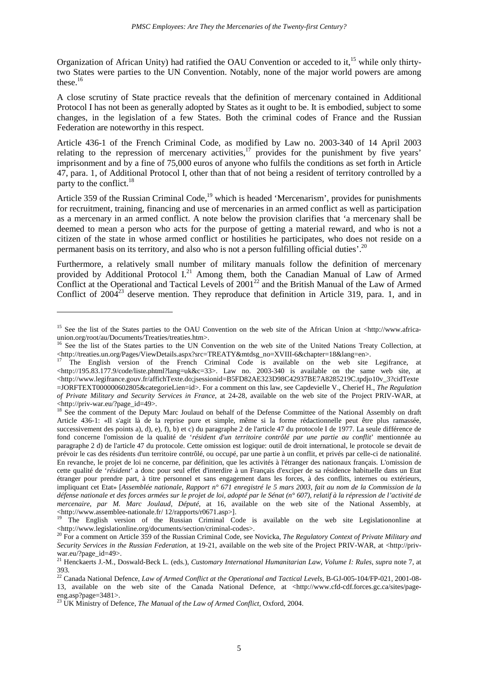Organization of African Unity) had ratified the OAU Convention or acceded to it,<sup>15</sup> while only thirtytwo States were parties to the UN Convention. Notably, none of the major world powers are among these.<sup>16</sup>

A close scrutiny of State practice reveals that the definition of mercenary contained in Additional Protocol I has not been as generally adopted by States as it ought to be. It is embodied, subject to some changes, in the legislation of a few States. Both the criminal codes of France and the Russian Federation are noteworthy in this respect.

Article 436-1 of the French Criminal Code, as modified by Law no. 2003-340 of 14 April 2003 relating to the repression of mercenary activities, $17$  provides for the punishment by five years' imprisonment and by a fine of 75,000 euros of anyone who fulfils the conditions as set forth in Article 47, para. 1, of Additional Protocol I, other than that of not being a resident of territory controlled by a party to the conflict.<sup>18</sup>

Article 359 of the Russian Criminal Code,<sup>19</sup> which is headed 'Mercenarism', provides for punishments for recruitment, training, financing and use of mercenaries in an armed conflict as well as participation as a mercenary in an armed conflict. A note below the provision clarifies that 'a mercenary shall be deemed to mean a person who acts for the purpose of getting a material reward, and who is not a citizen of the state in whose armed conflict or hostilities he participates, who does not reside on a permanent basis on its territory, and also who is not a person fulfilling official duties'.<sup>20</sup>

Furthermore, a relatively small number of military manuals follow the definition of mercenary provided by Additional Protocol I.<sup>21</sup> Among them, both the Canadian Manual of Law of Armed Conflict at the Operational and Tactical Levels of  $2001^{22}$  and the British Manual of the Law of Armed Conflict of  $2004^{23}$  deserve mention. They reproduce that definition in Article 319, para. 1, and in

<sup>&</sup>lt;sup>15</sup> See the list of the States parties to the OAU Convention on the web site of the African Union at <http://www.africaunion.org/root/au/Documents/Treaties/treaties.htm>.

<sup>&</sup>lt;sup>16</sup> See the list of the States parties to the UN Convention on the web site of the United Nations Treaty Collection, at <http://treaties.un.org/Pages/ViewDetails.aspx?src=TREATY&mtdsg\_no=XVIII-6&chapter=18&lang=en>.

<sup>17</sup> The English version of the French Criminal Code is available on the web site Legifrance, at <http://195.83.177.9/code/liste.phtml?lang=uk&c=33>. Law no. 2003-340 is available on the same web site, at <http://www.legifrance.gouv.fr/affichTexte.do;jsessionid=B5FD82AE323D98C42937BE7A8285219C.tpdjo10v\_3?cidTexte</a> =JORFTEXT000000602805&categorieLien=id>. For a comment on this law, see Capdevielle V., Cherief H., *The Regulation of Private Military and Security Services in France*, at 24-28, available on the web site of the Project PRIV-WAR, at <http://priv-war.eu/?page\_id=49>.

<sup>&</sup>lt;sup>18</sup> See the comment of the Deputy Marc Joulaud on behalf of the Defense Committee of the National Assembly on draft Article 436-1: «Il s'agit là de la reprise pure et simple, même si la forme rédactionnelle peut être plus ramassée, successivement des points a), d), e), f), b) et c) du paragraphe 2 de l'article 47 du protocole I de 1977. La seule différence de fond concerne l'omission de la qualité de '*résident d'un territoire contrôlé par une partie au conflit*' mentionnée au paragraphe 2 d) de l'article 47 du protocole. Cette omission est logique: outil de droit international, le protocole se devait de prévoir le cas des résidents d'un territoire contrôlé, ou occupé, par une partie à un conflit, et privés par celle-ci de nationalité. En revanche, le projet de loi ne concerne, par définition, que les activités à l'étranger des nationaux français. L'omission de cette qualité de '*résident*' a donc pour seul effet d'interdire à un Français d'exciper de sa résidence habituelle dans un Etat étranger pour prendre part, à titre personnel et sans engagement dans les forces, à des conflits, internes ou extérieurs, impliquant cet Etat» [*Assemblée nationale, Rapport n° 671 enregistré le 5 mars 2003, fait au nom de la Commission de la défense nationale et des forces armées sur le projet de loi, adopté par le Sénat (n° 607), relatif à la répression de l'activité de mercenaire, par M. Marc Joulaud, Député*, at 16, available on the web site of the National Assembly, at <http://www.assemblee-nationale.fr/ 12/rapports/r0671.asp>].

<sup>19</sup> The English version of the Russian Criminal Code is available on the web site Legislationonline at <http://www.legislationline.org/documents/section/criminal-codes>.

<sup>20</sup> For a comment on Article 359 of the Russian Criminal Code, see Novicka, *The Regulatory Context of Private Military and Security Services in the Russian Federation*, at 19-21, available on the web site of the Project PRIV-WAR, at <http://privwar.eu/?page\_id=49>.

<sup>21</sup> Henckaerts J.-M., Doswald-Beck L. (eds.), *Customary International Humanitarian Law, Volume I: Rules*, *supra* note 7, at 393.

<sup>&</sup>lt;sup>22</sup> Canada National Defence, *Law of Armed Conflict at the Operational and Tactical Levels*, B-GJ-005-104/FP-021, 2001-08-13, available on the web site of the Canada National Defence, at <http://www.cfd-cdf.forces.gc.ca/sites/pageeng.asp?page=3481>.

<sup>23</sup> UK Ministry of Defence, *The Manual of the Law of Armed Conflict*, Oxford, 2004.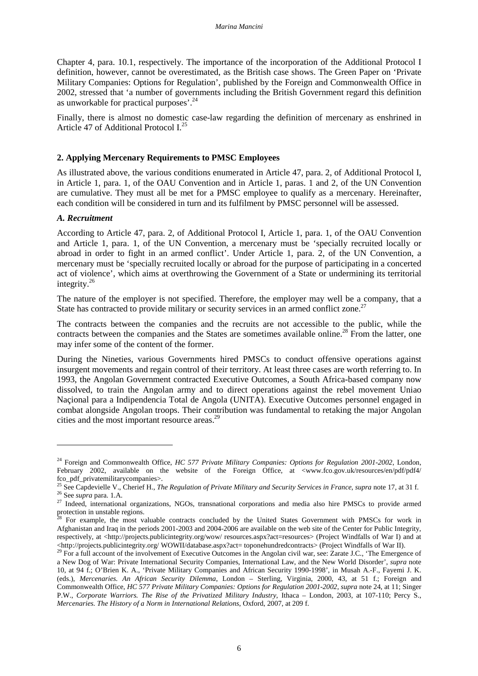Chapter 4, para. 10.1, respectively. The importance of the incorporation of the Additional Protocol I definition, however, cannot be overestimated, as the British case shows. The Green Paper on 'Private Military Companies: Options for Regulation', published by the Foreign and Commonwealth Office in 2002, stressed that 'a number of governments including the British Government regard this definition as unworkable for practical purposes'.<sup>24</sup>

Finally, there is almost no domestic case-law regarding the definition of mercenary as enshrined in Article 47 of Additional Protocol I.<sup>25</sup>

## **2. Applying Mercenary Requirements to PMSC Employees**

As illustrated above, the various conditions enumerated in Article 47, para. 2, of Additional Protocol I, in Article 1, para. 1, of the OAU Convention and in Article 1, paras. 1 and 2, of the UN Convention are cumulative. They must all be met for a PMSC employee to qualify as a mercenary. Hereinafter, each condition will be considered in turn and its fulfilment by PMSC personnel will be assessed.

# *A. Recruitment*

 $\overline{a}$ 

According to Article 47, para. 2, of Additional Protocol I, Article 1, para. 1, of the OAU Convention and Article 1, para. 1, of the UN Convention, a mercenary must be 'specially recruited locally or abroad in order to fight in an armed conflict'. Under Article 1, para. 2, of the UN Convention, a mercenary must be 'specially recruited locally or abroad for the purpose of participating in a concerted act of violence', which aims at overthrowing the Government of a State or undermining its territorial integrity. $^{26}$ 

The nature of the employer is not specified. Therefore, the employer may well be a company, that a State has contracted to provide military or security services in an armed conflict zone.<sup>27</sup>

The contracts between the companies and the recruits are not accessible to the public, while the contracts between the companies and the States are sometimes available online.<sup>28</sup> From the latter, one may infer some of the content of the former.

During the Nineties, various Governments hired PMSCs to conduct offensive operations against insurgent movements and regain control of their territory. At least three cases are worth referring to. In 1993, the Angolan Government contracted Executive Outcomes, a South Africa-based company now dissolved, to train the Angolan army and to direct operations against the rebel movement Uniao Naçional para a Indipendencia Total de Angola (UNITA). Executive Outcomes personnel engaged in combat alongside Angolan troops. Their contribution was fundamental to retaking the major Angolan cities and the most important resource areas.<sup>29</sup>

<sup>24</sup> Foreign and Commonwealth Office, *HC 577 Private Military Companies: Options for Regulation 2001-2002*, London, February 2002, available on the website of the Foreign Office, at <www.fco.gov.uk/resources/en/pdf/pdf4/ fco\_pdf\_privatemilitarycompanies>.

<sup>&</sup>lt;sup>25</sup> See Capdevielle V., Cherief H., *The Regulation of Private Military and Security Services in France*, *supra* note 17, at 31 f. <sup>26</sup> See *supra* para. 1.A.

<sup>&</sup>lt;sup>27</sup> Indeed, international organizations, NGOs, transnational corporations and media also hire PMSCs to provide armed protection in unstable regions.

<sup>&</sup>lt;sup>8</sup> For example, the most valuable contracts concluded by the United States Government with PMSCs for work in Afghanistan and Iraq in the periods 2001-2003 and 2004-2006 are available on the web site of the Center for Public Integrity, respectively, at <http://projects.publicintegrity.org/wow/ resources.aspx?act=resources> (Project Windfalls of War I) and at <http://projects.publicintegrity.org/ WOWII/database.aspx?act= toponehundredcontracts> (Project Windfalls of War II).

<sup>&</sup>lt;sup>29</sup> For a full account of the involvement of Executive Outcomes in the Angolan civil war, see: Zarate J.C., 'The Emergence of a New Dog of War: Private International Security Companies, International Law, and the New World Disorder', *supra* note 10, at 94 f.; O'Brien K. A., 'Private Military Companies and African Security 1990-1998', in Musah A.-F., Fayemi J. K. (eds.), *Mercenaries. An African Security Dilemma*, London – Sterling, Virginia, 2000, 43, at 51 f.; Foreign and Commonwealth Office, *HC 577 Private Military Companies: Options for Regulation 2001-2002*, *supra* note 24, at 11; Singer P.W., *Corporate Warriors. The Rise of the Privatized Military Industry*, Ithaca – London, 2003, at 107-110; Percy S., *Mercenaries. The History of a Norm in International Relations*, Oxford, 2007, at 209 f.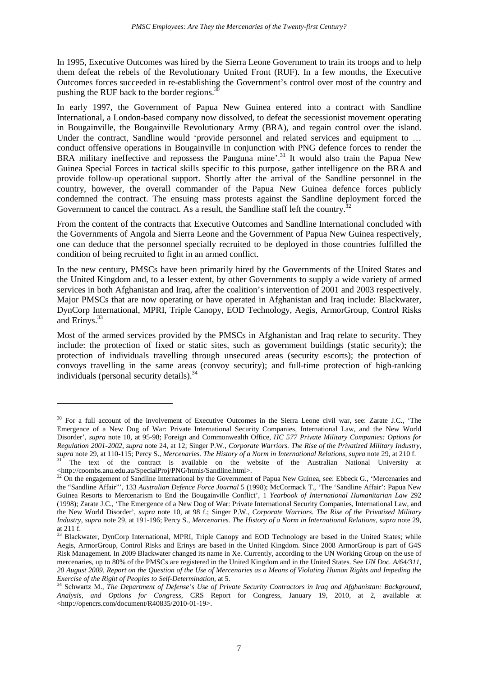In 1995, Executive Outcomes was hired by the Sierra Leone Government to train its troops and to help them defeat the rebels of the Revolutionary United Front (RUF). In a few months, the Executive Outcomes forces succeeded in re-establishing the Government's control over most of the country and pushing the RUF back to the border regions.<sup>30</sup>

In early 1997, the Government of Papua New Guinea entered into a contract with Sandline International, a London-based company now dissolved, to defeat the secessionist movement operating in Bougainville, the Bougainville Revolutionary Army (BRA), and regain control over the island. Under the contract, Sandline would 'provide personnel and related services and equipment to ... conduct offensive operations in Bougainville in conjunction with PNG defence forces to render the BRA military ineffective and repossess the Panguna mine'.<sup>31</sup> It would also train the Papua New Guinea Special Forces in tactical skills specific to this purpose, gather intelligence on the BRA and provide follow-up operational support. Shortly after the arrival of the Sandline personnel in the country, however, the overall commander of the Papua New Guinea defence forces publicly condemned the contract. The ensuing mass protests against the Sandline deployment forced the Government to cancel the contract. As a result, the Sandline staff left the country.<sup>3</sup>

From the content of the contracts that Executive Outcomes and Sandline International concluded with the Governments of Angola and Sierra Leone and the Government of Papua New Guinea respectively, one can deduce that the personnel specially recruited to be deployed in those countries fulfilled the condition of being recruited to fight in an armed conflict.

In the new century, PMSCs have been primarily hired by the Governments of the United States and the United Kingdom and, to a lesser extent, by other Governments to supply a wide variety of armed services in both Afghanistan and Iraq, after the coalition's intervention of 2001 and 2003 respectively. Major PMSCs that are now operating or have operated in Afghanistan and Iraq include: Blackwater, DynCorp International, MPRI, Triple Canopy, EOD Technology, Aegis, ArmorGroup, Control Risks and Erinys.<sup>33</sup>

Most of the armed services provided by the PMSCs in Afghanistan and Iraq relate to security. They include: the protection of fixed or static sites, such as government buildings (static security); the protection of individuals travelling through unsecured areas (security escorts); the protection of convoys travelling in the same areas (convoy security); and full-time protection of high-ranking individuals (personal security details). $34$ 

<sup>&</sup>lt;sup>30</sup> For a full account of the involvement of Executive Outcomes in the Sierra Leone civil war, see: Zarate J.C., 'The Emergence of a New Dog of War: Private International Security Companies, International Law, and the New World Disorder', *supra* note 10, at 95-98; Foreign and Commonwealth Office, *HC 577 Private Military Companies: Options for Regulation 2001-2002*, *supra* note 24, at 12; Singer P.W., *Corporate Warriors. The Rise of the Privatized Military Industry*, *supra* note 29, at 110-115; Percy S., *Mercenaries. The History of a Norm in International Relations*, *supra* note 29, at 210 f.

<sup>31</sup> The text of the contract is available on the website of the Australian National University at <http://coombs.anu.edu.au/SpecialProj/PNG/htmls/Sandline.html>.

<sup>&</sup>lt;sup>32</sup> On the engagement of Sandline International by the Government of Papua New Guinea, see: Ebbeck G., 'Mercenaries and the "Sandline Affair"', 133 *Australian Defence Force Journal* 5 (1998); McCormack T., 'The 'Sandline Affair': Papua New Guinea Resorts to Mercenarism to End the Bougainville Conflict', 1 *Yearbook of International Humanitarian Law* 292 (1998); Zarate J.C., 'The Emergence of a New Dog of War: Private International Security Companies, International Law, and the New World Disorder', *supra* note 10, at 98 f.; Singer P.W., *Corporate Warriors. The Rise of the Privatized Military Industry*, *supra* note 29, at 191-196; Percy S., *Mercenaries. The History of a Norm in International Relations*, *supra* note 29, at 211 f.

<sup>&</sup>lt;sup>33</sup> Blackwater, DynCorp International, MPRI, Triple Canopy and EOD Technology are based in the United States; while Aegis, ArmorGroup, Control Risks and Erinys are based in the United Kingdom. Since 2008 ArmorGroup is part of G4S Risk Management. In 2009 Blackwater changed its name in Xe. Currently, according to the UN Working Group on the use of mercenaries, up to 80% of the PMSCs are registered in the United Kingdom and in the United States. See *UN Doc. A/64/311, 20 August 2009, Report on the Question of the Use of Mercenaries as a Means of Violating Human Rights and Impeding the Exercise of the Right of Peoples to Self-Determination*, at 5.

<sup>34</sup> Schwartz M., *The Department of Defense's Use of Private Security Contractors in Iraq and Afghanistan: Background, Analysis, and Options for Congress*, CRS Report for Congress, January 19, 2010, at 2, available at <http://opencrs.com/document/R40835/2010-01-19>.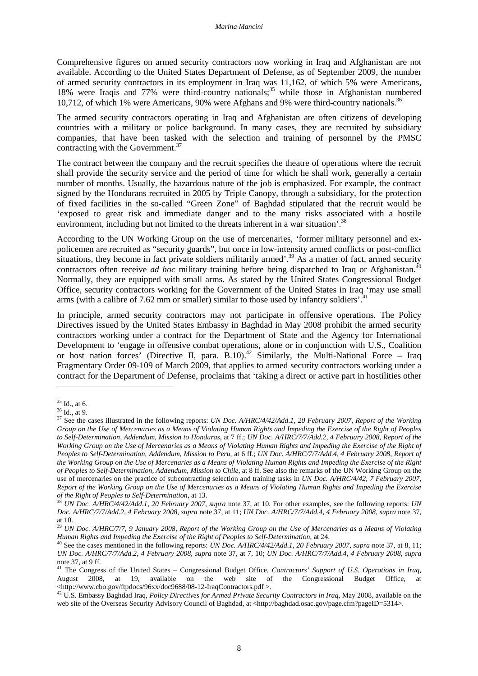Comprehensive figures on armed security contractors now working in Iraq and Afghanistan are not available. According to the United States Department of Defense, as of September 2009, the number of armed security contractors in its employment in Iraq was 11,162, of which 5% were Americans, 18% were Iraqis and 77% were third-country nationals;<sup>35</sup> while those in Afghanistan numbered 10,712, of which 1% were Americans, 90% were Afghans and 9% were third-country nationals.<sup>36</sup>

The armed security contractors operating in Iraq and Afghanistan are often citizens of developing countries with a military or police background. In many cases, they are recruited by subsidiary companies, that have been tasked with the selection and training of personnel by the PMSC contracting with the Government.<sup>37</sup>

The contract between the company and the recruit specifies the theatre of operations where the recruit shall provide the security service and the period of time for which he shall work, generally a certain number of months. Usually, the hazardous nature of the job is emphasized. For example, the contract signed by the Hondurans recruited in 2005 by Triple Canopy, through a subsidiary, for the protection of fixed facilities in the so-called "Green Zone" of Baghdad stipulated that the recruit would be 'exposed to great risk and immediate danger and to the many risks associated with a hostile environment, including but not limited to the threats inherent in a war situation'.<sup>38</sup>

According to the UN Working Group on the use of mercenaries, 'former military personnel and expolicemen are recruited as "security guards", but once in low-intensity armed conflicts or post-conflict situations, they become in fact private soldiers militarily armed'.<sup>39</sup> As a matter of fact, armed security contractors often receive *ad hoc* military training before being dispatched to Iraq or Afghanistan.<sup>40</sup> Normally, they are equipped with small arms. As stated by the United States Congressional Budget Office, security contractors working for the Government of the United States in Iraq 'may use small arms (with a calibre of 7.62 mm or smaller) similar to those used by infantry soldiers'.<sup>4</sup>

In principle, armed security contractors may not participate in offensive operations. The Policy Directives issued by the United States Embassy in Baghdad in May 2008 prohibit the armed security contractors working under a contract for the Department of State and the Agency for International Development to 'engage in offensive combat operations, alone or in conjunction with U.S., Coalition or host nation forces' (Directive II, para.  $B.10$ ).<sup>42</sup> Similarly, the Multi-National Force – Iraq Fragmentary Order 09-109 of March 2009, that applies to armed security contractors working under a contract for the Department of Defense, proclaims that 'taking a direct or active part in hostilities other

 $35$  Id., at 6.

<sup>36</sup> Id., at 9.

<sup>37</sup> See the cases illustrated in the following reports: *UN Doc. A/HRC/4/42/Add.1, 20 February 2007, Report of the Working Group on the Use of Mercenaries as a Means of Violating Human Rights and Impeding the Exercise of the Right of Peoples to Self-Determination, Addendum, Mission to Honduras*, at 7 ff.; *UN Doc. A/HRC/7/7/Add.2, 4 February 2008, Report of the Working Group on the Use of Mercenaries as a Means of Violating Human Rights and Impeding the Exercise of the Right of Peoples to Self-Determination, Addendum, Mission to Peru*, at 6 ff.; *UN Doc. A/HRC/7/7/Add.4, 4 February 2008, Report of the Working Group on the Use of Mercenaries as a Means of Violating Human Rights and Impeding the Exercise of the Right of Peoples to Self-Determination, Addendum, Mission to Chile*, at 8 ff. See also the remarks of the UN Working Group on the use of mercenaries on the practice of subcontracting selection and training tasks in *UN Doc. A/HRC/4/42, 7 February 2007, Report of the Working Group on the Use of Mercenaries as a Means of Violating Human Rights and Impeding the Exercise of the Right of Peoples to Self-Determination*, at 13.

<sup>38</sup> *UN Doc. A/HRC/4/42/Add.1, 20 February 2007*, *supra* note 37, at 10. For other examples, see the following reports: *UN Doc. A/HRC/7/7/Add.2, 4 February 2008*, *supra* note 37, at 11; *UN Doc. A/HRC/7/7/Add.4, 4 February 2008*, *supra* note 37, at 10.

<sup>39</sup> *UN Doc. A/HRC/7/7, 9 January 2008, Report of the Working Group on the Use of Mercenaries as a Means of Violating Human Rights and Impeding the Exercise of the Right of Peoples to Self-Determination*, at 24.

<sup>40</sup> See the cases mentioned in the following reports: *UN Doc. A/HRC/4/42/Add.1, 20 February 2007, supra* note 37, at 8, 11; *UN Doc. A/HRC/7/7/Add.2, 4 February 2008*, *supra* note 37, at 7, 10; *UN Doc. A/HRC/7/7/Add.4, 4 February 2008*, *supra* note 37, at 9 ff.

<sup>41</sup> The Congress of the United States – Congressional Budget Office, *Contractors' Support of U.S. Operations in Iraq*, August 2008, at 19, available on the web site of the Congressional Budget Office, at <http://www.cbo.gov/ftpdocs/96xx/doc9688/08-12-IraqContractors.pdf >.

<sup>42</sup> U.S. Embassy Baghdad Iraq, *Policy Directives for Armed Private Security Contractors in Iraq*, May 2008, available on the web site of the Overseas Security Advisory Council of Baghdad, at <http://baghdad.osac.gov/page.cfm?pageID=5314>.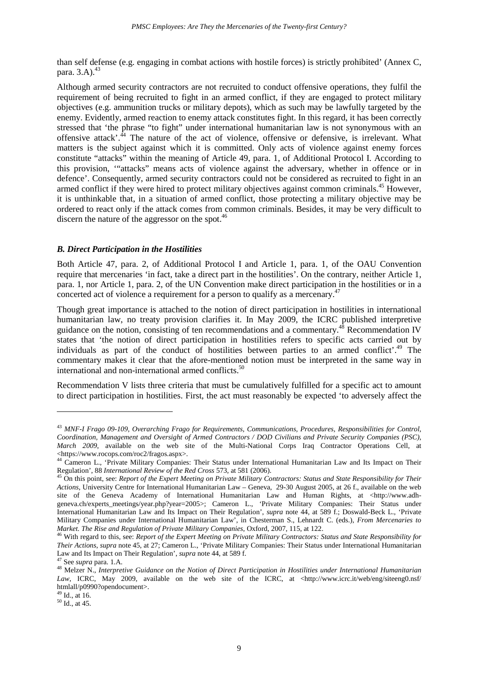than self defense (e.g. engaging in combat actions with hostile forces) is strictly prohibited' (Annex C, para. 3.A).<sup>43</sup>

Although armed security contractors are not recruited to conduct offensive operations, they fulfil the requirement of being recruited to fight in an armed conflict, if they are engaged to protect military objectives (e.g. ammunition trucks or military depots), which as such may be lawfully targeted by the enemy. Evidently, armed reaction to enemy attack constitutes fight. In this regard, it has been correctly stressed that 'the phrase "to fight" under international humanitarian law is not synonymous with an offensive attack'.<sup>44</sup> The nature of the act of violence, offensive or defensive, is irrelevant. What matters is the subject against which it is committed. Only acts of violence against enemy forces constitute "attacks" within the meaning of Article 49, para. 1, of Additional Protocol I. According to this provision, '"attacks" means acts of violence against the adversary, whether in offence or in defence'. Consequently, armed security contractors could not be considered as recruited to fight in an armed conflict if they were hired to protect military objectives against common criminals.<sup>45</sup> However, it is unthinkable that, in a situation of armed conflict, those protecting a military objective may be ordered to react only if the attack comes from common criminals. Besides, it may be very difficult to discern the nature of the aggressor on the spot.<sup>46</sup>

#### *B. Direct Participation in the Hostilities*

Both Article 47, para. 2, of Additional Protocol I and Article 1, para. 1, of the OAU Convention require that mercenaries 'in fact, take a direct part in the hostilities'. On the contrary, neither Article 1, para. 1, nor Article 1, para. 2, of the UN Convention make direct participation in the hostilities or in a concerted act of violence a requirement for a person to qualify as a mercenary.<sup>47</sup>

Though great importance is attached to the notion of direct participation in hostilities in international humanitarian law, no treaty provision clarifies it. In May 2009, the ICRC published interpretive guidance on the notion, consisting of ten recommendations and a commentary.<sup>48</sup> Recommendation IV states that 'the notion of direct participation in hostilities refers to specific acts carried out by individuals as part of the conduct of hostilities between parties to an armed conflict'. $49$  The commentary makes it clear that the afore-mentioned notion must be interpreted in the same way in international and non-international armed conflicts. 50

Recommendation V lists three criteria that must be cumulatively fulfilled for a specific act to amount to direct participation in hostilities. First, the act must reasonably be expected 'to adversely affect the

<sup>43</sup> *MNF-I Frago 09-109, Overarching Frago for Requirements, Communications, Procedures, Responsibilities for Control, Coordination, Management and Oversight of Armed Contractors / DOD Civilians and Private Security Companies (PSC), March 2009*, available on the web site of the Multi-National Corps Iraq Contractor Operations Cell, at <https://www.rocops.com/roc2/fragos.aspx>.

<sup>&</sup>lt;sup>44</sup> Cameron L., 'Private Military Companies: Their Status under International Humanitarian Law and Its Impact on Their Regulation', 88 *International Review of the Red Cross* 573, at 581 (2006).

<sup>45</sup> On this point, see: *Report of the Expert Meeting on Private Military Contractors: Status and State Responsibility for Their Actions*, University Centre for International Humanitarian Law – Geneva, 29-30 August 2005, at 26 f., available on the web site of the Geneva Academy of International Humanitarian Law and Human Rights, at <http://www.adhgeneva.ch/experts\_meetings/year.php?year=2005>; Cameron L., 'Private Military Companies: Their Status under International Humanitarian Law and Its Impact on Their Regulation', *supra* note 44, at 589 f.; Doswald-Beck L., 'Private Military Companies under International Humanitarian Law', in Chesterman S., Lehnardt C. (eds.), *From Mercenaries to Market. The Rise and Regulation of Private Military Companies*, Oxford, 2007, 115, at 122.

<sup>46</sup> With regard to this, see: *Report of the Expert Meeting on Private Military Contractors: Status and State Responsibility for Their Actions*, *supra* note 45, at 27; Cameron L., 'Private Military Companies: Their Status under International Humanitarian Law and Its Impact on Their Regulation', *supra* note 44, at 589 f.

<sup>47</sup> See *supra* para. 1.A.

<sup>48</sup> Melzer N., *Interpretive Guidance on the Notion of Direct Participation in Hostilities under International Humanitarian*  Law, ICRC, May 2009, available on the web site of the ICRC, at <http://www.icrc.it/web/eng/siteeng0.nsf/ htmlall/p0990?opendocument>.

 $49$  Id., at 16.

 $50$  Id., at 45.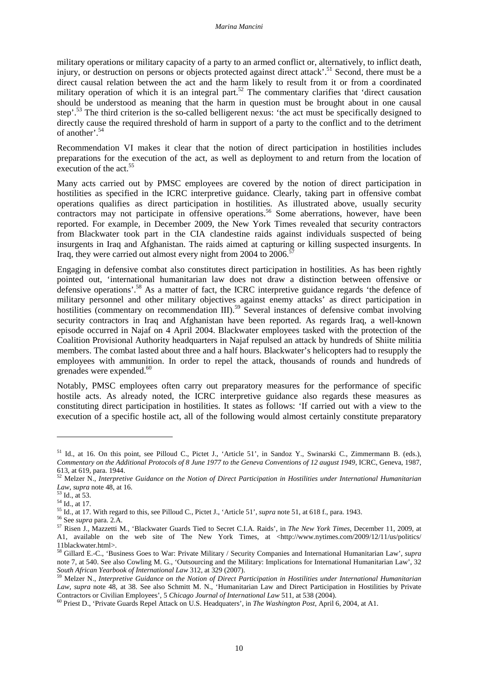military operations or military capacity of a party to an armed conflict or, alternatively, to inflict death, injury, or destruction on persons or objects protected against direct attack'.<sup>51</sup> Second, there must be a direct causal relation between the act and the harm likely to result from it or from a coordinated military operation of which it is an integral part.<sup>52</sup> The commentary clarifies that 'direct causation should be understood as meaning that the harm in question must be brought about in one causal step'.<sup>53</sup> The third criterion is the so-called belligerent nexus: 'the act must be specifically designed to directly cause the required threshold of harm in support of a party to the conflict and to the detriment of another'.<sup>54</sup>

Recommendation VI makes it clear that the notion of direct participation in hostilities includes preparations for the execution of the act, as well as deployment to and return from the location of execution of the act.<sup>55</sup>

Many acts carried out by PMSC employees are covered by the notion of direct participation in hostilities as specified in the ICRC interpretive guidance. Clearly, taking part in offensive combat operations qualifies as direct participation in hostilities. As illustrated above, usually security contractors may not participate in offensive operations.<sup>56</sup> Some aberrations, however, have been reported. For example, in December 2009, the New York Times revealed that security contractors from Blackwater took part in the CIA clandestine raids against individuals suspected of being insurgents in Iraq and Afghanistan. The raids aimed at capturing or killing suspected insurgents. In Iraq, they were carried out almost every night from 2004 to 2006.<sup>5</sup>

Engaging in defensive combat also constitutes direct participation in hostilities. As has been rightly pointed out, 'international humanitarian law does not draw a distinction between offensive or defensive operations'.<sup>58</sup> As a matter of fact, the ICRC interpretive guidance regards 'the defence of military personnel and other military objectives against enemy attacks' as direct participation in hostilities (commentary on recommendation III).<sup>59</sup> Several instances of defensive combat involving security contractors in Iraq and Afghanistan have been reported. As regards Iraq, a well-known episode occurred in Najaf on 4 April 2004. Blackwater employees tasked with the protection of the Coalition Provisional Authority headquarters in Najaf repulsed an attack by hundreds of Shiite militia members. The combat lasted about three and a half hours. Blackwater's helicopters had to resupply the employees with ammunition. In order to repel the attack, thousands of rounds and hundreds of grenades were expended.<sup>60</sup>

Notably, PMSC employees often carry out preparatory measures for the performance of specific hostile acts. As already noted, the ICRC interpretive guidance also regards these measures as constituting direct participation in hostilities. It states as follows: 'If carried out with a view to the execution of a specific hostile act, all of the following would almost certainly constitute preparatory

<sup>&</sup>lt;sup>51</sup> Id., at 16. On this point, see Pilloud C., Pictet J., 'Article 51', in Sandoz Y., Swinarski C., Zimmermann B. (eds.), *Commentary on the Additional Protocols of 8 June 1977 to the Geneva Conventions of 12 august 1949*, ICRC, Geneva, 1987, 613, at 619, para. 1944.

<sup>52</sup> Melzer N., *Interpretive Guidance on the Notion of Direct Participation in Hostilities under International Humanitarian Law*, *supra* note 48, at 16.

<sup>53</sup> Id., at 53.

<sup>54</sup> Id., at 17.

<sup>55</sup> Id., at 17. With regard to this, see Pilloud C., Pictet J., 'Article 51', *supra* note 51, at 618 f., para. 1943.

<sup>56</sup> See *supra* para. 2.A.

<sup>57</sup> Risen J., Mazzetti M., 'Blackwater Guards Tied to Secret C.I.A. Raids', in *The New York Times*, December 11, 2009, at A1, available on the web site of The New York Times, at <http://www.nytimes.com/2009/12/11/us/politics/ 11blackwater.html>.

<sup>58</sup> Gillard E.-C., 'Business Goes to War: Private Military / Security Companies and International Humanitarian Law', *supra* note 7, at 540. See also Cowling M. G., 'Outsourcing and the Military: Implications for International Humanitarian Law', 32 *South African Yearbook of International Law* 312, at 329 (2007).

<sup>59</sup> Melzer N., *Interpretive Guidance on the Notion of Direct Participation in Hostilities under International Humanitarian Law*, *supra* note 48, at 38. See also Schmitt M. N., 'Humanitarian Law and Direct Participation in Hostilities by Private Contractors or Civilian Employees', 5 *Chicago Journal of International Law* 511, at 538 (2004).

<sup>60</sup> Priest D., 'Private Guards Repel Attack on U.S. Headquaters', in *The Washington Post*, April 6, 2004, at A1.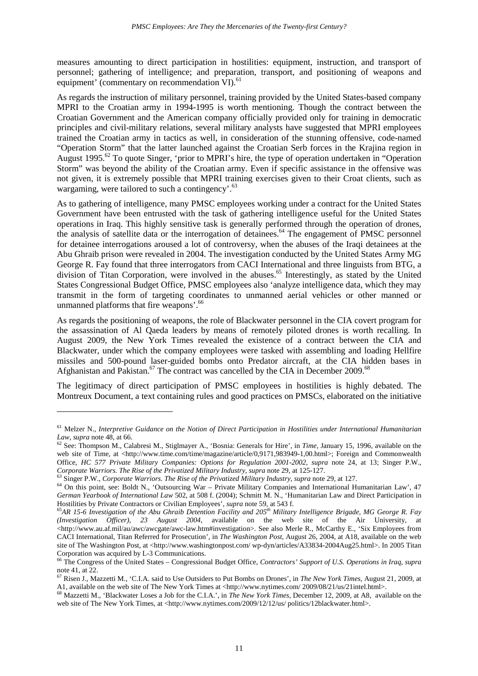measures amounting to direct participation in hostilities: equipment, instruction, and transport of personnel; gathering of intelligence; and preparation, transport, and positioning of weapons and equipment' (commentary on recommendation VI).<sup>61</sup>

As regards the instruction of military personnel, training provided by the United States-based company MPRI to the Croatian army in 1994-1995 is worth mentioning. Though the contract between the Croatian Government and the American company officially provided only for training in democratic principles and civil-military relations, several military analysts have suggested that MPRI employees trained the Croatian army in tactics as well, in consideration of the stunning offensive, code-named "Operation Storm" that the latter launched against the Croatian Serb forces in the Krajina region in August 1995.<sup>62</sup> To quote Singer, 'prior to MPRI's hire, the type of operation undertaken in "Operation" Storm" was beyond the ability of the Croatian army. Even if specific assistance in the offensive was not given, it is extremely possible that MPRI training exercises given to their Croat clients, such as wargaming, were tailored to such a contingency'.<sup>63</sup>

As to gathering of intelligence, many PMSC employees working under a contract for the United States Government have been entrusted with the task of gathering intelligence useful for the United States operations in Iraq. This highly sensitive task is generally performed through the operation of drones, the analysis of satellite data or the interrogation of detainees.<sup>64</sup> The engagement of PMSC personnel for detainee interrogations aroused a lot of controversy, when the abuses of the Iraqi detainees at the Abu Ghraib prison were revealed in 2004. The investigation conducted by the United States Army MG George R. Fay found that three interrogators from CACI International and three linguists from BTG, a division of Titan Corporation, were involved in the abuses.<sup>65</sup> Interestingly, as stated by the United States Congressional Budget Office, PMSC employees also 'analyze intelligence data, which they may transmit in the form of targeting coordinates to unmanned aerial vehicles or other manned or unmanned platforms that fire weapons'.<sup>66</sup>

As regards the positioning of weapons, the role of Blackwater personnel in the CIA covert program for the assassination of Al Qaeda leaders by means of remotely piloted drones is worth recalling. In August 2009, the New York Times revealed the existence of a contract between the CIA and Blackwater, under which the company employees were tasked with assembling and loading Hellfire missiles and 500-pound laser-guided bombs onto Predator aircraft, at the CIA hidden bases in Afghanistan and Pakistan.<sup>67</sup> The contract was cancelled by the CIA in December 2009.<sup>68</sup>

The legitimacy of direct participation of PMSC employees in hostilities is highly debated. The Montreux Document, a text containing rules and good practices on PMSCs, elaborated on the initiative

<sup>61</sup> Melzer N., *Interpretive Guidance on the Notion of Direct Participation in Hostilities under International Humanitarian Law*, *supra* note 48, at 66.

<sup>&</sup>lt;sup>62</sup> See: Thompson M., Calabresi M., Stiglmayer A., 'Bosnia: Generals for Hire', in *Time*, January 15, 1996, available on the web site of Time, at <http://www.time.com/time/magazine/article/0,9171,983949-1,00.html>; Foreign and Commonwealth Office, *HC 577 Private Military Companies: Options for Regulation 2001-2002*, *supra* note 24, at 13; Singer P.W., *Corporate Warriors. The Rise of the Privatized Military Industry*, *supra* note 29, at 125-127.

<sup>63</sup> Singer P.W., *Corporate Warriors. The Rise of the Privatized Military Industry*, *supra* note 29, at 127.

<sup>&</sup>lt;sup>64</sup> On this point, see: Boldt N., 'Outsourcing War – Private Military Companies and International Humanitarian Law', 47 *German Yearbook of International Law* 502, at 508 f. (2004); Schmitt M. N., 'Humanitarian Law and Direct Participation in Hostilities by Private Contractors or Civilian Employees', *supra* note 59, at 543 f.

<sup>65</sup>*AR 15-6 Investigation of the Abu Ghraib Detention Facility and 205th Military Intelligence Brigade, MG George R. Fay (Investigation Officer), 23 August 2004*, available on the web site of the Air University, at <http://www.au.af.mil/au/awc/awcgate/awc-law.htm#investigation>. See also Merle R., McCarthy E., 'Six Employees from CACI International, Titan Referred for Prosecution', in *The Washington Post*, August 26, 2004, at A18, available on the web site of The Washington Post, at <http://www.washingtonpost.com/ wp-dyn/articles/A33834-2004Aug25.html>. In 2005 Titan Corporation was acquired by L-3 Communications.

<sup>66</sup> The Congress of the United States – Congressional Budget Office, *Contractors' Support of U.S. Operations in Iraq*, *supra* note  $41$ , at  $22$ .

<sup>67</sup> Risen J., Mazzetti M., 'C.I.A. said to Use Outsiders to Put Bombs on Drones', in *The New York Times*, August 21, 2009, at A1, available on the web site of The New York Times at <http://www.nytimes.com/ 2009/08/21/us/21intel.html>.

<sup>68</sup> Mazzetti M., 'Blackwater Loses a Job for the C.I.A.', in *The New York Times*, December 12, 2009, at A8, available on the web site of The New York Times, at <http://www.nytimes.com/2009/12/12/us/ politics/12blackwater.html>.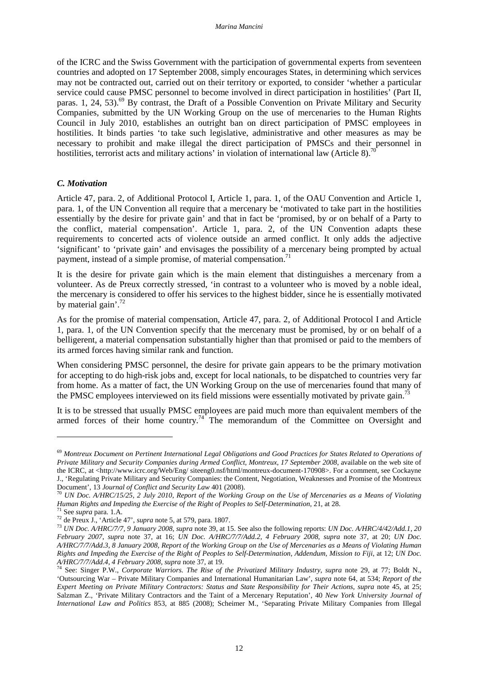of the ICRC and the Swiss Government with the participation of governmental experts from seventeen countries and adopted on 17 September 2008, simply encourages States, in determining which services may not be contracted out, carried out on their territory or exported, to consider 'whether a particular service could cause PMSC personnel to become involved in direct participation in hostilities' (Part II, paras. 1, 24, 53).<sup>69</sup> By contrast, the Draft of a Possible Convention on Private Military and Security Companies, submitted by the UN Working Group on the use of mercenaries to the Human Rights Council in July 2010, establishes an outright ban on direct participation of PMSC employees in hostilities. It binds parties 'to take such legislative, administrative and other measures as may be necessary to prohibit and make illegal the direct participation of PMSCs and their personnel in hostilities, terrorist acts and military actions' in violation of international law (Article 8).<sup>7</sup>

#### *C. Motivation*

Article 47, para. 2, of Additional Protocol I, Article 1, para. 1, of the OAU Convention and Article 1, para. 1, of the UN Convention all require that a mercenary be 'motivated to take part in the hostilities essentially by the desire for private gain' and that in fact be 'promised, by or on behalf of a Party to the conflict, material compensation'. Article 1, para. 2, of the UN Convention adapts these requirements to concerted acts of violence outside an armed conflict. It only adds the adjective 'significant' to 'private gain' and envisages the possibility of a mercenary being prompted by actual payment, instead of a simple promise, of material compensation.<sup>71</sup>

It is the desire for private gain which is the main element that distinguishes a mercenary from a volunteer. As de Preux correctly stressed, 'in contrast to a volunteer who is moved by a noble ideal, the mercenary is considered to offer his services to the highest bidder, since he is essentially motivated by material gain'.<sup>72</sup>

As for the promise of material compensation, Article 47, para. 2, of Additional Protocol I and Article 1, para. 1, of the UN Convention specify that the mercenary must be promised, by or on behalf of a belligerent, a material compensation substantially higher than that promised or paid to the members of its armed forces having similar rank and function.

When considering PMSC personnel, the desire for private gain appears to be the primary motivation for accepting to do high-risk jobs and, except for local nationals, to be dispatched to countries very far from home. As a matter of fact, the UN Working Group on the use of mercenaries found that many of the PMSC employees interviewed on its field missions were essentially motivated by private gain.<sup>7</sup>

It is to be stressed that usually PMSC employees are paid much more than equivalent members of the armed forces of their home country.<sup>74</sup> The memorandum of the Committee on Oversight and

<sup>69</sup> *Montreux Document on Pertinent International Legal Obligations and Good Practices for States Related to Operations of Private Military and Security Companies during Armed Conflict, Montreux, 17 September 2008*, available on the web site of the ICRC, at <http://www.icrc.org/Web/Eng/ siteeng0.nsf/html/montreux-document-170908>. For a comment, see Cockayne J., 'Regulating Private Military and Security Companies: the Content, Negotiation, Weaknesses and Promise of the Montreux Document', 13 *Journal of Conflict and Security Law* 401 (2008).

<sup>70</sup> *UN Doc. A/HRC/15/25, 2 July 2010, Report of the Working Group on the Use of Mercenaries as a Means of Violating Human Rights and Impeding the Exercise of the Right of Peoples to Self-Determination*, 21, at 28.

<sup>71</sup> See *supra* para. 1.A.

<sup>72</sup> de Preux J., 'Article 47', *supra* note 5, at 579, para. 1807.

<sup>73</sup> *UN Doc. A/HRC/7/7, 9 January 2008*, *supra* note 39, at 15. See also the following reports: *UN Doc. A/HRC/4/42/Add.1, 20 February 2007*, *supra* note 37, at 16; *UN Doc. A/HRC/7/7/Add.2, 4 February 2008*, *supra* note 37, at 20; *UN Doc. A/HRC/7/7/Add.3, 8 January 2008, Report of the Working Group on the Use of Mercenaries as a Means of Violating Human Rights and Impeding the Exercise of the Right of Peoples to Self-Determination, Addendum, Mission to Fiji*, at 12; *UN Doc. A/HRC/7/7/Add.4, 4 February 2008*, *supra* note 37, at 19.

<sup>74</sup> See: Singer P.W., *Corporate Warriors. The Rise of the Privatized Military Industry*, *supra* note 29, at 77; Boldt N., 'Outsourcing War – Private Military Companies and International Humanitarian Law', *supra* note 64, at 534; *Report of the Expert Meeting on Private Military Contractors: Status and State Responsibility for Their Actions*, *supra* note 45, at 25; Salzman Z., 'Private Military Contractors and the Taint of a Mercenary Reputation', 40 *New York University Journal of International Law and Politics* 853, at 885 (2008); Scheimer M., 'Separating Private Military Companies from Illegal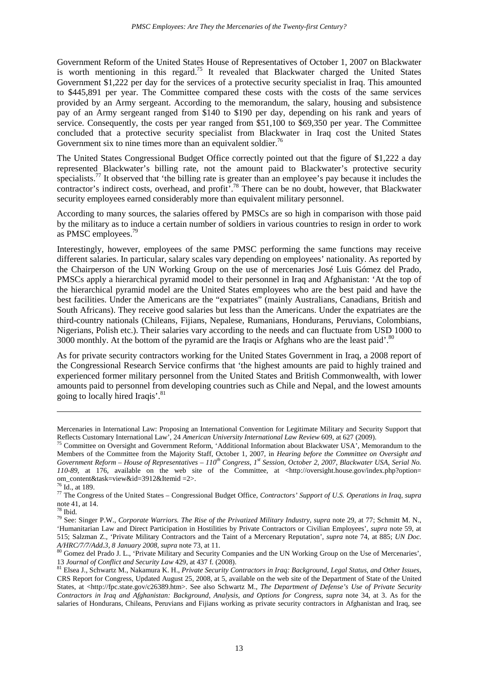Government Reform of the United States House of Representatives of October 1, 2007 on Blackwater is worth mentioning in this regard.<sup>75</sup> It revealed that Blackwater charged the United States Government \$1,222 per day for the services of a protective security specialist in Iraq. This amounted to \$445,891 per year. The Committee compared these costs with the costs of the same services provided by an Army sergeant. According to the memorandum, the salary, housing and subsistence pay of an Army sergeant ranged from \$140 to \$190 per day, depending on his rank and years of service. Consequently, the costs per year ranged from \$51,100 to \$69,350 per year. The Committee concluded that a protective security specialist from Blackwater in Iraq cost the United States Government six to nine times more than an equivalent soldier.<sup>76</sup>

The United States Congressional Budget Office correctly pointed out that the figure of \$1,222 a day represented Blackwater's billing rate, not the amount paid to Blackwater's protective security specialists.<sup>77</sup> It observed that 'the billing rate is greater than an employee's pay because it includes the contractor's indirect costs, overhead, and profit<sup>7,78</sup> There can be no doubt, however, that Blackwater security employees earned considerably more than equivalent military personnel.

According to many sources, the salaries offered by PMSCs are so high in comparison with those paid by the military as to induce a certain number of soldiers in various countries to resign in order to work as PMSC employees.<sup>79</sup>

Interestingly, however, employees of the same PMSC performing the same functions may receive different salaries. In particular, salary scales vary depending on employees' nationality. As reported by the Chairperson of the UN Working Group on the use of mercenaries José Luis Gómez del Prado, PMSCs apply a hierarchical pyramid model to their personnel in Iraq and Afghanistan: 'At the top of the hierarchical pyramid model are the United States employees who are the best paid and have the best facilities. Under the Americans are the "expatriates" (mainly Australians, Canadians, British and South Africans). They receive good salaries but less than the Americans. Under the expatriates are the third-country nationals (Chileans, Fijians, Nepalese, Rumanians, Hondurans, Peruvians, Colombians, Nigerians, Polish etc.). Their salaries vary according to the needs and can fluctuate from USD 1000 to 3000 monthly. At the bottom of the pyramid are the Iraqis or Afghans who are the least paid'.<sup>80</sup>

As for private security contractors working for the United States Government in Iraq, a 2008 report of the Congressional Research Service confirms that 'the highest amounts are paid to highly trained and experienced former military personnel from the United States and British Commonwealth, with lower amounts paid to personnel from developing countries such as Chile and Nepal, and the lowest amounts going to locally hired Iraqis'.<sup>81</sup>

Mercenaries in International Law: Proposing an International Convention for Legitimate Military and Security Support that Reflects Customary International Law', 24 *American University International Law Review* 609, at 627 (2009).

<sup>&</sup>lt;sup>75</sup> Committee on Oversight and Government Reform, 'Additional Information about Blackwater USA', Memorandum to the Members of the Committee from the Majority Staff, October 1, 2007, in *Hearing before the Committee on Oversight and Government Reform – House of Representatives – 110th Congress, 1st Session, October 2, 2007, Blackwater USA, Serial No. 110-89*, at 176, available on the web site of the Committee, at <http://oversight.house.gov/index.php?option= om\_content&task=view&id=3912&Itemid =2>.

<sup>76</sup> Id., at 189.

<sup>77</sup> The Congress of the United States – Congressional Budget Office, *Contractors' Support of U.S. Operations in Iraq*, *supra* note 41, at 14.

<sup>78</sup> Ibid.

<sup>79</sup> See: Singer P.W., *Corporate Warriors. The Rise of the Privatized Military Industry*, *supra* note 29, at 77; Schmitt M. N., 'Humanitarian Law and Direct Participation in Hostilities by Private Contractors or Civilian Employees', *supra* note 59, at 515; Salzman Z., 'Private Military Contractors and the Taint of a Mercenary Reputation', *supra* note 74, at 885; *UN Doc. A/HRC/7/7/Add.3, 8 January 2008*, *supra* note 73, at 11.

<sup>&</sup>lt;sup>80</sup> Gomez del Prado J. L., 'Private Military and Security Companies and the UN Working Group on the Use of Mercenaries', 13 *Journal of Conflict and Security Law* 429, at 437 f. (2008).

<sup>81</sup> Elsea J., Schwartz M., Nakamura K. H., *Private Security Contractors in Iraq: Background, Legal Status, and Other Issues*, CRS Report for Congress, Updated August 25, 2008, at 5, available on the web site of the Department of State of the United States, at <http://fpc.state.gov/c26389.htm>. See also Schwartz M., *The Department of Defense's Use of Private Security Contractors in Iraq and Afghanistan: Background, Analysis, and Options for Congress*, *supra* note 34, at 3. As for the salaries of Hondurans, Chileans, Peruvians and Fijians working as private security contractors in Afghanistan and Iraq, see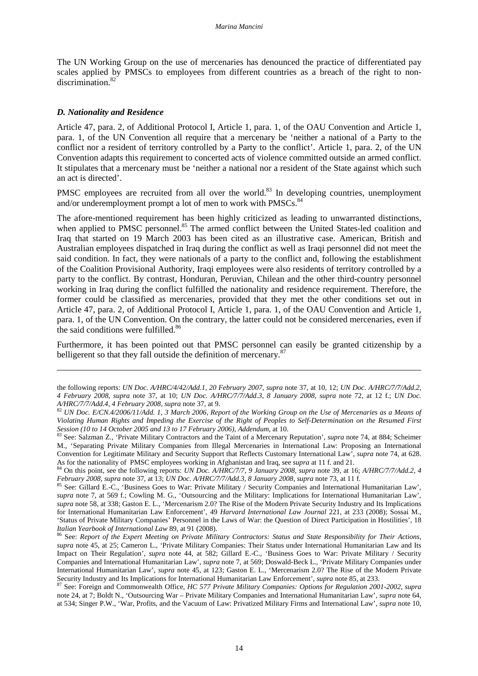The UN Working Group on the use of mercenaries has denounced the practice of differentiated pay scales applied by PMSCs to employees from different countries as a breach of the right to nondiscrimination.<sup>8</sup>

#### *D. Nationality and Residence*

 $\overline{a}$ 

Article 47, para. 2, of Additional Protocol I, Article 1, para. 1, of the OAU Convention and Article 1, para. 1, of the UN Convention all require that a mercenary be 'neither a national of a Party to the conflict nor a resident of territory controlled by a Party to the conflict'. Article 1, para. 2, of the UN Convention adapts this requirement to concerted acts of violence committed outside an armed conflict. It stipulates that a mercenary must be 'neither a national nor a resident of the State against which such an act is directed'.

PMSC employees are recruited from all over the world.<sup>83</sup> In developing countries, unemployment and/or underemployment prompt a lot of men to work with PMSCs.<sup>84</sup>

The afore-mentioned requirement has been highly criticized as leading to unwarranted distinctions, when applied to PMSC personnel.<sup>85</sup> The armed conflict between the United States-led coalition and Iraq that started on 19 March 2003 has been cited as an illustrative case. American, British and Australian employees dispatched in Iraq during the conflict as well as Iraqi personnel did not meet the said condition. In fact, they were nationals of a party to the conflict and, following the establishment of the Coalition Provisional Authority, Iraqi employees were also residents of territory controlled by a party to the conflict. By contrast, Honduran, Peruvian, Chilean and the other third-country personnel working in Iraq during the conflict fulfilled the nationality and residence requirement. Therefore, the former could be classified as mercenaries, provided that they met the other conditions set out in Article 47, para. 2, of Additional Protocol I, Article 1, para. 1, of the OAU Convention and Article 1, para. 1, of the UN Convention. On the contrary, the latter could not be considered mercenaries, even if the said conditions were fulfilled.<sup>86</sup>

Furthermore, it has been pointed out that PMSC personnel can easily be granted citizenship by a belligerent so that they fall outside the definition of mercenary.<sup>87</sup>

the following reports: *UN Doc. A/HRC/4/42/Add.1, 20 February 2007*, *supra* note 37, at 10, 12; *UN Doc. A/HRC/7/7/Add.2, 4 February 2008*, *supra* note 37, at 10; *UN Doc. A/HRC/7/7/Add.3, 8 January 2008, supra* note 72, at 12 f.; *UN Doc. A/HRC/7/7/Add.4, 4 February 2008*, *supra* note 37, at 9.

<sup>82</sup> *UN Doc. E/CN.4/2006/11/Add. 1, 3 March 2006, Report of the Working Group on the Use of Mercenaries as a Means of Violating Human Rights and Impeding the Exercise of the Right of Peoples to Self-Determination on the Resumed First Session (10 to 14 October 2005 and 13 to 17 February 2006), Addendum*, at 10.

<sup>83</sup> See: Salzman Z., 'Private Military Contractors and the Taint of a Mercenary Reputation', *supra* note 74, at 884; Scheimer M., 'Separating Private Military Companies from Illegal Mercenaries in International Law: Proposing an International Convention for Legitimate Military and Security Support that Reflects Customary International Law', *supra* note 74, at 628. As for the nationality of PMSC employees working in Afghanistan and Iraq, see *supra* at 11 f. and 21.

<sup>84</sup> On this point, see the following reports: *UN Doc. A/HRC/7/7, 9 January 2008*, *supra* note 39, at 16; *A/HRC/7/7/Add.2, 4 February 2008*, *supra* note 37, at 13; *UN Doc. A/HRC/7/7/Add.3, 8 January 2008, supra* note 73, at 11 f.

<sup>85</sup> See: Gillard E.-C., 'Business Goes to War: Private Military / Security Companies and International Humanitarian Law', *supra* note 7, at 569 f.; Cowling M. G., 'Outsourcing and the Military: Implications for International Humanitarian Law', *supra* note 58, at 338; Gaston E. L., 'Mercenarism 2.0? The Rise of the Modern Private Security Industry and Its Implications for International Humanitarian Law Enforcement', 49 *Harvard International Law Journal* 221, at 233 (2008); Sossai M., 'Status of Private Military Companies' Personnel in the Laws of War: the Question of Direct Participation in Hostilities', 18 *Italian Yearbook of International Law* 89, at 91 (2008).

<sup>86</sup> See: *Report of the Expert Meeting on Private Military Contractors: Status and State Responsibility for Their Actions*, *supra* note 45, at 25; Cameron L., 'Private Military Companies: Their Status under International Humanitarian Law and Its Impact on Their Regulation', *supra* note 44, at 582; Gillard E.-C., 'Business Goes to War: Private Military / Security Companies and International Humanitarian Law', *supra* note 7, at 569; Doswald-Beck L., 'Private Military Companies under International Humanitarian Law', *supra* note 45, at 123; Gaston E. L., 'Mercenarism 2.0? The Rise of the Modern Private Security Industry and Its Implications for International Humanitarian Law Enforcement', *supra* note 85, at 233.

<sup>87</sup> See: Foreign and Commonwealth Office, *HC 577 Private Military Companies: Options for Regulation 2001-2002*, *supra* note 24, at 7; Boldt N., 'Outsourcing War – Private Military Companies and International Humanitarian Law', *supra* note 64, at 534; Singer P.W., 'War, Profits, and the Vacuum of Law: Privatized Military Firms and International Law', *supra* note 10,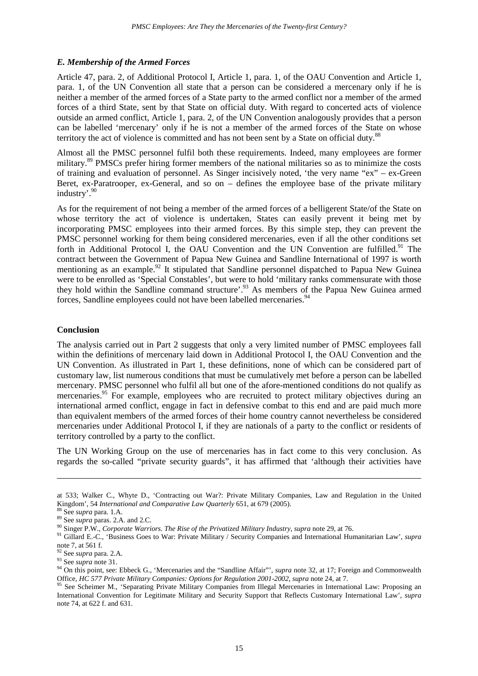# *E. Membership of the Armed Forces*

Article 47, para. 2, of Additional Protocol I, Article 1, para. 1, of the OAU Convention and Article 1, para. 1, of the UN Convention all state that a person can be considered a mercenary only if he is neither a member of the armed forces of a State party to the armed conflict nor a member of the armed forces of a third State, sent by that State on official duty. With regard to concerted acts of violence outside an armed conflict, Article 1, para. 2, of the UN Convention analogously provides that a person can be labelled 'mercenary' only if he is not a member of the armed forces of the State on whose territory the act of violence is committed and has not been sent by a State on official duty.<sup>88</sup>

Almost all the PMSC personnel fulfil both these requirements. Indeed, many employees are former military.<sup>89</sup> PMSCs prefer hiring former members of the national militaries so as to minimize the costs of training and evaluation of personnel. As Singer incisively noted, 'the very name "ex" – ex-Green Beret, ex-Paratrooper, ex-General, and so on – defines the employee base of the private military industry'.<sup>90</sup>

As for the requirement of not being a member of the armed forces of a belligerent State/of the State on whose territory the act of violence is undertaken, States can easily prevent it being met by incorporating PMSC employees into their armed forces. By this simple step, they can prevent the PMSC personnel working for them being considered mercenaries, even if all the other conditions set forth in Additional Protocol I, the OAU Convention and the UN Convention are fulfilled.<sup>91</sup> The contract between the Government of Papua New Guinea and Sandline International of 1997 is worth mentioning as an example.<sup>92</sup> It stipulated that Sandline personnel dispatched to Papua New Guinea were to be enrolled as 'Special Constables', but were to hold 'military ranks commensurate with those they hold within the Sandline command structure'.<sup>93</sup> As members of the Papua New Guinea armed forces, Sandline employees could not have been labelled mercenaries.<sup>94</sup>

### **Conclusion**

The analysis carried out in Part 2 suggests that only a very limited number of PMSC employees fall within the definitions of mercenary laid down in Additional Protocol I, the OAU Convention and the UN Convention. As illustrated in Part 1, these definitions, none of which can be considered part of customary law, list numerous conditions that must be cumulatively met before a person can be labelled mercenary. PMSC personnel who fulfil all but one of the afore-mentioned conditions do not qualify as mercenaries.<sup>95</sup> For example, employees who are recruited to protect military objectives during an international armed conflict, engage in fact in defensive combat to this end and are paid much more than equivalent members of the armed forces of their home country cannot nevertheless be considered mercenaries under Additional Protocol I, if they are nationals of a party to the conflict or residents of territory controlled by a party to the conflict.

The UN Working Group on the use of mercenaries has in fact come to this very conclusion. As regards the so-called "private security guards", it has affirmed that 'although their activities have

at 533; Walker C., Whyte D., 'Contracting out War?: Private Military Companies, Law and Regulation in the United Kingdom', 54 *International and Comparative Law Quarterly* 651, at 679 (2005).

<sup>88</sup> See *supra* para. 1.A.

<sup>89</sup> See *supra* paras. 2.A. and 2.C.

<sup>90</sup> Singer P.W., *Corporate Warriors. The Rise of the Privatized Military Industry*, *supra* note 29, at 76.

<sup>91</sup> Gillard E.-C., 'Business Goes to War: Private Military / Security Companies and International Humanitarian Law', *supra* note 7, at 561 f.

<sup>92</sup> See *supra* para. 2.A.

<sup>93</sup> See *supra* note 31.

<sup>&</sup>lt;sup>94</sup> On this point, see: Ebbeck G., 'Mercenaries and the "Sandline Affair"', *supra* note 32, at 17; Foreign and Commonwealth Office, *HC 577 Private Military Companies: Options for Regulation 2001-2002*, *supra* note 24, at 7.

<sup>&</sup>lt;sup>95</sup> See Scheimer M., 'Separating Private Military Companies from Illegal Mercenaries in International Law: Proposing an International Convention for Legitimate Military and Security Support that Reflects Customary International Law', *supra* note 74, at 622 f. and 631.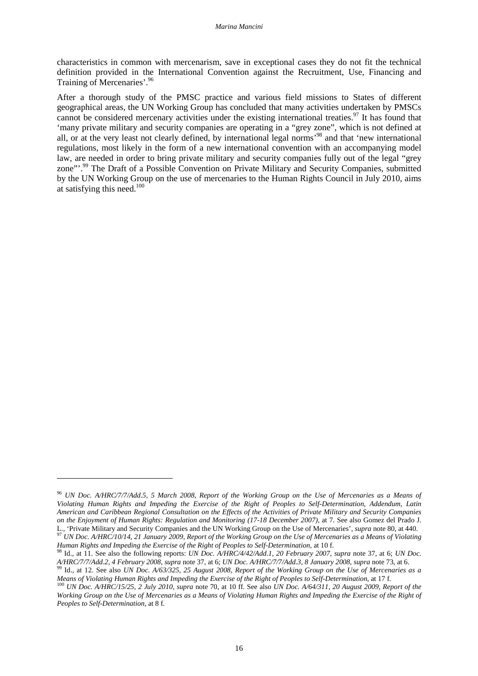characteristics in common with mercenarism, save in exceptional cases they do not fit the technical definition provided in the International Convention against the Recruitment, Use, Financing and Training of Mercenaries'.<sup>96</sup>

After a thorough study of the PMSC practice and various field missions to States of different geographical areas, the UN Working Group has concluded that many activities undertaken by PMSCs cannot be considered mercenary activities under the existing international treaties.<sup>97</sup> It has found that 'many private military and security companies are operating in a "grey zone", which is not defined at all, or at the very least not clearly defined, by international legal norms'<sup>98</sup> and that 'new international regulations, most likely in the form of a new international convention with an accompanying model law, are needed in order to bring private military and security companies fully out of the legal "grey zone"<sup>.99</sup> The Draft of a Possible Convention on Private Military and Security Companies, submitted by the UN Working Group on the use of mercenaries to the Human Rights Council in July 2010, aims at satisfying this need. $100$ 

<sup>96</sup> *UN Doc. A/HRC/7/7/Add.5, 5 March 2008, Report of the Working Group on the Use of Mercenaries as a Means of Violating Human Rights and Impeding the Exercise of the Right of Peoples to Self-Determination, Addendum, Latin American and Caribbean Regional Consultation on the Effects of the Activities of Private Military and Security Companies on the Enjoyment of Human Rights: Regulation and Monitoring (17-18 December 2007)*, at 7. See also Gomez del Prado J. L., 'Private Military and Security Companies and the UN Working Group on the Use of Mercenaries', *supra* note 80, at 440.

<sup>97</sup> *UN Doc. A/HRC/10/14, 21 January 2009, Report of the Working Group on the Use of Mercenaries as a Means of Violating Human Rights and Impeding the Exercise of the Right of Peoples to Self-Determination*, at 10 f.

<sup>98</sup> Id., at 11. See also the following reports: *UN Doc. A/HRC/4/42/Add.1, 20 February 2007*, *supra* note 37, at 6; *UN Doc. A/HRC/7/7/Add.2, 4 February 2008*, *supra* note 37, at 6; *UN Doc. A/HRC/7/7/Add.3, 8 January 2008, supra* note 73, at 6.

<sup>99</sup> Id., at 12. See also *UN Doc. A/63/325, 25 August 2008, Report of the Working Group on the Use of Mercenaries as a Means of Violating Human Rights and Impeding the Exercise of the Right of Peoples to Self-Determination*, at 17 f.

<sup>100</sup> *UN Doc. A/HRC/15/25, 2 July 2010, supra* note 70, at 10 ff. See also *UN Doc. A/64/311, 20 August 2009, Report of the Working Group on the Use of Mercenaries as a Means of Violating Human Rights and Impeding the Exercise of the Right of Peoples to Self-Determination*, at 8 f.